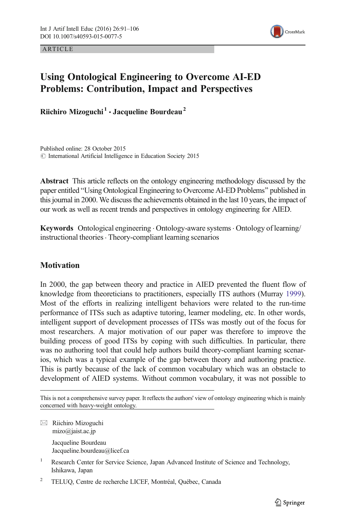ARTICLE



# Using Ontological Engineering to Overcome AI-ED Problems: Contribution, Impact and Perspectives

Riichiro Mizoguchi<sup>1</sup> · Jacqueline Bourdeau<sup>2</sup>

Published online: 28 October 2015 © International Artificial Intelligence in Education Society 2015

Abstract This article reflects on the ontology engineering methodology discussed by the paper entitled "Using Ontological Engineering to Overcome AI-ED Problems" published in this journal in 2000. We discuss the achievements obtained in the last 10 years, the impact of our work as well as recent trends and perspectives in ontology engineering for AIED.

Keywords Ontological engineering . Ontology-aware systems. Ontology of learning/ instructional theories · Theory-compliant learning scenarios

# **Motivation**

In 2000, the gap between theory and practice in AIED prevented the fluent flow of knowledge from theoreticians to practitioners, especially ITS authors (Murray [1999\)](#page-14-0). Most of the efforts in realizing intelligent behaviors were related to the run-time performance of ITSs such as adaptive tutoring, learner modeling, etc. In other words, intelligent support of development processes of ITSs was mostly out of the focus for most researchers. A major motivation of our paper was therefore to improve the building process of good ITSs by coping with such difficulties. In particular, there was no authoring tool that could help authors build theory-compliant learning scenarios, which was a typical example of the gap between theory and authoring practice. This is partly because of the lack of common vocabulary which was an obstacle to development of AIED systems. Without common vocabulary, it was not possible to

This is not a comprehensive survey paper. It reflects the authors' view of ontology engineering which is mainly concerned with heavy-weight ontology.

 $\boxtimes$  Riichiro Mizoguchi mizo@jaist.ac.jp Jacqueline Bourdeau Jacqueline.bourdeau@licef.ca

<sup>1</sup> Research Center for Service Science, Japan Advanced Institute of Science and Technology, Ishikawa, Japan

<sup>2</sup> TELUQ, Centre de recherche LICEF, Montréal, Québec, Canada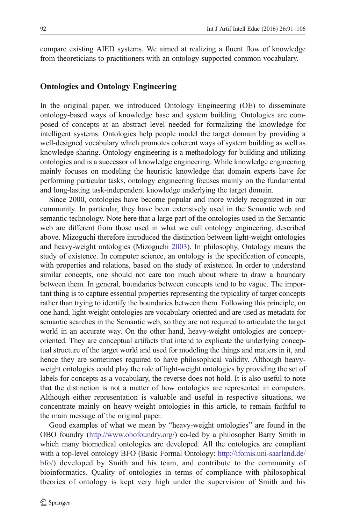compare existing AIED systems. We aimed at realizing a fluent flow of knowledge from theoreticians to practitioners with an ontology-supported common vocabulary.

#### Ontologies and Ontology Engineering

In the original paper, we introduced Ontology Engineering (OE) to disseminate ontology-based ways of knowledge base and system building. Ontologies are composed of concepts at an abstract level needed for formalizing the knowledge for intelligent systems. Ontologies help people model the target domain by providing a well-designed vocabulary which promotes coherent ways of system building as well as knowledge sharing. Ontology engineering is a methodology for building and utilizing ontologies and is a successor of knowledge engineering. While knowledge engineering mainly focuses on modeling the heuristic knowledge that domain experts have for performing particular tasks, ontology engineering focuses mainly on the fundamental and long-lasting task-independent knowledge underlying the target domain.

Since 2000, ontologies have become popular and more widely recognized in our community. In particular, they have been extensively used in the Semantic web and semantic technology. Note here that a large part of the ontologies used in the Semantic web are different from those used in what we call ontology engineering, described above. Mizoguchi therefore introduced the distinction between light-weight ontologies and heavy-weight ontologies (Mizoguchi [2003\)](#page-14-0). In philosophy, Ontology means the study of existence. In computer science, an ontology is the specification of concepts, with properties and relations, based on the study of existence. In order to understand similar concepts, one should not care too much about where to draw a boundary between them. In general, boundaries between concepts tend to be vague. The important thing is to capture essential properties representing the typicality of target concepts rather than trying to identify the boundaries between them. Following this principle, on one hand, light-weight ontologies are vocabulary-oriented and are used as metadata for semantic searches in the Semantic web, so they are not required to articulate the target world in an accurate way. On the other hand, heavy-weight ontologies are conceptoriented. They are conceptual artifacts that intend to explicate the underlying conceptual structure of the target world and used for modeling the things and matters in it, and hence they are sometimes required to have philosophical validity. Although heavyweight ontologies could play the role of light-weight ontologies by providing the set of labels for concepts as a vocabulary, the reverse does not hold. It is also useful to note that the distinction is not a matter of how ontologies are represented in computers. Although either representation is valuable and useful in respective situations, we concentrate mainly on heavy-weight ontologies in this article, to remain faithful to the main message of the original paper.

Good examples of what we mean by "heavy-weight ontologies" are found in the OBO foundry [\(http://www.obofoundry.org](http://www.obofoundry.org)/) co-led by a philosopher Barry Smith in which many biomedical ontologies are developed. All the ontologies are compliant with a top-level ontology BFO (Basic Formal Ontology: [http://ifomis.uni-saarland.de/](http://ifomis.uni-saarland.de/bfo/) [bfo/\)](http://ifomis.uni-saarland.de/bfo/) developed by Smith and his team, and contribute to the community of bioinformatics. Quality of ontologies in terms of compliance with philosophical theories of ontology is kept very high under the supervision of Smith and his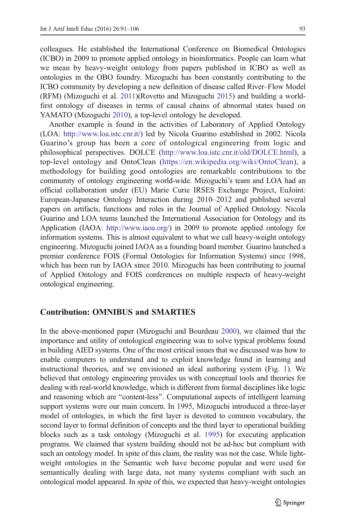colleagues. He established the International Conference on Biomedical Ontologies (ICBO) in 2009 to promote applied ontology in bioinformatics. People can learn what we mean by heavy-weight ontology from papers published in ICBO as well as ontologies in the OBO foundry. Mizoguchi has been constantly contributing to the ICBO community by developing a new definition of disease called River–Flow Model (RFM) (Mizoguchi et al. [2011](#page-14-0))(Rovetto and Mizoguchi [2015](#page-14-0)) and building a worldfirst ontology of diseases in terms of causal chains of abnormal states based on YAMATO (Mizoguchi [2010\)](#page-14-0), a top-level ontology he developed.

Another example is found in the activities of Laboratory of Applied Ontology (LOA: [http://www.loa.istc.cnr.it/](http://www.loa.istc.cnr.it)) led by Nicola Guarino established in 2002. Nicola Guarino's group has been a core of ontological engineering from logic and philosophical perspectives. DOLCE [\(http://www.loa.istc.cnr.it/old/DOLCE.html\)](http://www.loa.istc.cnr.it/old/DOLCE.html), a top-level ontology and OntoClean [\(https://en.wikipedia.org/wiki/OntoClean](https://en.wikipedia.org/wiki/OntoClean)), a methodology for building good ontologies are remarkable contributions to the community of ontology engineering world-wide. Mizoguchi's team and LOA had an official collaboration under (EU) Marie Curie IRSES Exchange Project, EuJoint: European-Japanese Ontology Interaction during 2010–2012 and published several papers on artifacts, functions and roles in the Journal of Applied Ontology. Nicola Guarino and LOA teams launched the International Association for Ontology and its Application (IAOA: <http://www.iaoa.org>/) in 2009 to promote applied ontology for information systems. This is almost equivalent to what we call heavy-weight ontology engineering. Mizoguchi joined IAOA as a founding board member. Guarino launched a premier conference FOIS (Formal Ontologies for Information Systems) since 1998, which has been run by IAOA since 2010. Mizoguchi has been contributing to journal of Applied Ontology and FOIS conferences on multiple respects of heavy-weight ontological engineering.

## Contribution: OMNIBUS and SMARTIES

In the above-mentioned paper (Mizoguchi and Bourdeau [2000\)](#page-14-0), we claimed that the importance and utility of ontological engineering was to solve typical problems found in building AIED systems. One of the most critical issues that we discussed was how to enable computers to understand and to exploit knowledge found in learning and instructional theories, and we envisioned an ideal authoring system (Fig. [1](#page-3-0)). We believed that ontology engineering provides us with conceptual tools and theories for dealing with real-world knowledge, which is different from formal disciplines like logic and reasoning which are "content-less". Computational aspects of intelligent learning support systems were our main concern. In 1995, Mizoguchi introduced a three-layer model of ontologies, in which the first layer is devoted to common vocabulary, the second layer to formal definition of concepts and the third layer to operational building blocks such as a task ontology (Mizoguchi et al. [1995](#page-14-0)) for executing application programs. We claimed that system building should not be ad-hoc but compliant with such an ontology model. In spite of this claim, the reality was not the case. While lightweight ontologies in the Semantic web have become popular and were used for semantically dealing with large data, not many systems compliant with such an ontological model appeared. In spite of this, we expected that heavy-weight ontologies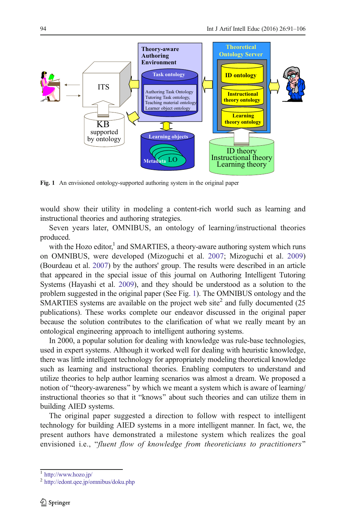<span id="page-3-0"></span>

Fig. 1 An envisioned ontology-supported authoring system in the original paper

would show their utility in modeling a content-rich world such as learning and instructional theories and authoring strategies.

Seven years later, OMNIBUS, an ontology of learning/instructional theories produced.

with the Hozo editor,<sup>1</sup> and SMARTIES, a theory-aware authoring system which runs on OMNIBUS, were developed (Mizoguchi et al. [2007](#page-14-0); Mizoguchi et al. [2009](#page-14-0)) (Bourdeau et al. [2007](#page-13-0)) by the authors' group. The results were described in an article that appeared in the special issue of this journal on Authoring Intelligent Tutoring Systems (Hayashi et al. [2009](#page-14-0)), and they should be understood as a solution to the problem suggested in the original paper (See Fig. 1). The OMNIBUS ontology and the SMARTIES systems are available on the project web site<sup>2</sup> and fully documented  $(25$ publications). These works complete our endeavor discussed in the original paper because the solution contributes to the clarification of what we really meant by an ontological engineering approach to intelligent authoring systems.

In 2000, a popular solution for dealing with knowledge was rule-base technologies, used in expert systems. Although it worked well for dealing with heuristic knowledge, there was little intelligent technology for appropriately modeling theoretical knowledge such as learning and instructional theories. Enabling computers to understand and utilize theories to help author learning scenarios was almost a dream. We proposed a notion of "theory-awareness" by which we meant a system which is aware of learning/ instructional theories so that it "knows" about such theories and can utilize them in building AIED systems.

The original paper suggested a direction to follow with respect to intelligent technology for building AIED systems in a more intelligent manner. In fact, we, the present authors have demonstrated a milestone system which realizes the goal envisioned i.e., "fluent flow of knowledge from theoreticians to practitioners"

<sup>1</sup> <http://www.hozo.jp/>

<sup>2</sup> <http://edont.qee.jp/omnibus/doku.php>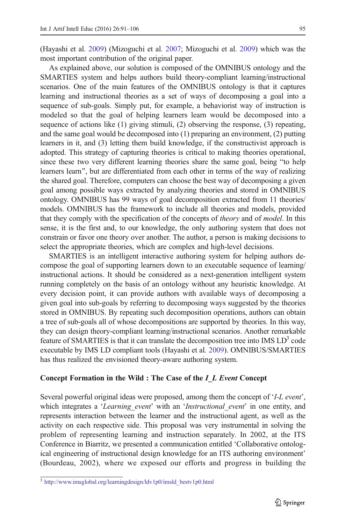(Hayashi et al. [2009\)](#page-14-0) (Mizoguchi et al. [2007;](#page-14-0) Mizoguchi et al. [2009](#page-14-0)) which was the most important contribution of the original paper.

As explained above, our solution is composed of the OMNIBUS ontology and the SMARTIES system and helps authors build theory-compliant learning/instructional scenarios. One of the main features of the OMNIBUS ontology is that it captures learning and instructional theories as a set of ways of decomposing a goal into a sequence of sub-goals. Simply put, for example, a behaviorist way of instruction is modeled so that the goal of helping learners learn would be decomposed into a sequence of actions like (1) giving stimuli, (2) observing the response, (3) repeating, and the same goal would be decomposed into (1) preparing an environment, (2) putting learners in it, and (3) letting them build knowledge, if the constructivist approach is adopted. This strategy of capturing theories is critical to making theories operational, since these two very different learning theories share the same goal, being "to help learners learn", but are differentiated from each other in terms of the way of realizing the shared goal. Therefore, computers can choose the best way of decomposing a given goal among possible ways extracted by analyzing theories and stored in OMNIBUS ontology. OMNIBUS has 99 ways of goal decomposition extracted from 11 theories/ models. OMNIBUS has the framework to include all theories and models, provided that they comply with the specification of the concepts of theory and of model. In this sense, it is the first and, to our knowledge, the only authoring system that does not constrain or favor one theory over another. The author, a person is making decisions to select the appropriate theories, which are complex and high-level decisions.

SMARTIES is an intelligent interactive authoring system for helping authors decompose the goal of supporting learners down to an executable sequence of learning/ instructional actions. It should be considered as a next-generation intelligent system running completely on the basis of an ontology without any heuristic knowledge. At every decision point, it can provide authors with available ways of decomposing a given goal into sub-goals by referring to decomposing ways suggested by the theories stored in OMNIBUS. By repeating such decomposition operations, authors can obtain a tree of sub-goals all of whose decompositions are supported by theories. In this way, they can design theory-compliant learning/instructional scenarios. Another remarkable feature of SMARTIES is that it can translate the decomposition tree into  $\text{IMS LD}^3$  code executable by IMS LD compliant tools (Hayashi et al. [2009\)](#page-14-0). OMNIBUS/SMARTIES has thus realized the envisioned theory-aware authoring system.

#### Concept Formation in the Wild : The Case of the I L Event Concept

Several powerful original ideas were proposed, among them the concept of 'I-L event', which integrates a 'Learning event' with an 'Instructional event' in one entity, and represents interaction between the learner and the instructional agent, as well as the activity on each respective side. This proposal was very instrumental in solving the problem of representing learning and instruction separately. In 2002, at the ITS Conference in Biarritz, we presented a communication entitled 'Collaborative ontological engineering of instructional design knowledge for an ITS authoring environment' (Bourdeau, 2002), where we exposed our efforts and progress in building the

<sup>3</sup> [http://www.imsglobal.org/learningdesign/ldv1p0/imsld\\_bestv1p0.html](http://www.imsglobal.org/learningdesign/ldv1p0/imsld_bestv1p0.html)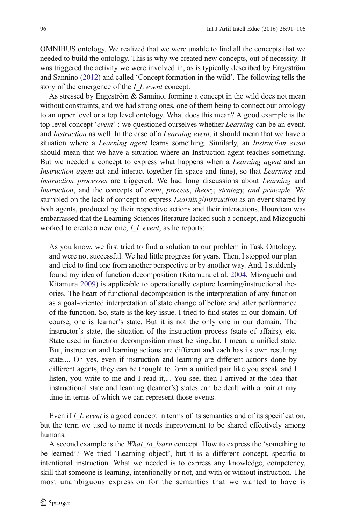OMNIBUS ontology. We realized that we were unable to find all the concepts that we needed to build the ontology. This is why we created new concepts, out of necessity. It was triggered the activity we were involved in, as is typically described by Engeström and Sannino [\(2012\)](#page-14-0) and called 'Concept formation in the wild'. The following tells the story of the emergence of the I L event concept.

As stressed by Engeström  $\&$  Sannino, forming a concept in the wild does not mean without constraints, and we had strong ones, one of them being to connect our ontology to an upper level or a top level ontology. What does this mean? A good example is the top level concept 'event' : we questioned ourselves whether *Learning* can be an event, and *Instruction* as well. In the case of a *Learning event*, it should mean that we have a situation where a *Learning agent* learns something. Similarly, an *Instruction event* should mean that we have a situation where an Instruction agent teaches something. But we needed a concept to express what happens when a *Learning agent* and an Instruction agent act and interact together (in space and time), so that Learning and Instruction processes are triggered. We had long discussions about Learning and Instruction, and the concepts of event, process, theory, strategy, and principle. We stumbled on the lack of concept to express *Learning/Instruction* as an event shared by both agents, produced by their respective actions and their interactions. Bourdeau was embarrassed that the Learning Sciences literature lacked such a concept, and Mizoguchi worked to create a new one,  $I$   $L$  event, as he reports:

As you know, we first tried to find a solution to our problem in Task Ontology, and were not successful. We had little progress for years. Then, I stopped our plan and tried to find one from another perspective or by another way. And, I suddenly found my idea of function decomposition (Kitamura et al. [2004](#page-14-0); Mizoguchi and Kitamura [2009\)](#page-14-0) is applicable to operationally capture learning/instructional theories. The heart of functional decomposition is the interpretation of any function as a goal-oriented interpretation of state change of before and after performance of the function. So, state is the key issue. I tried to find states in our domain. Of course, one is learner's state. But it is not the only one in our domain. The instructor's state, the situation of the instruction process (state of affairs), etc. State used in function decomposition must be singular, I mean, a unified state. But, instruction and learning actions are different and each has its own resulting state.... Oh yes, even if instruction and learning are different actions done by different agents, they can be thought to form a unified pair like you speak and I listen, you write to me and I read it,... You see, then I arrived at the idea that instructional state and learning (learner's) states can be dealt with a pair at any time in terms of which we can represent those events.

Even if I. L event is a good concept in terms of its semantics and of its specification, but the term we used to name it needs improvement to be shared effectively among humans.

A second example is the *What to learn* concept. How to express the 'something to be learned'? We tried 'Learning object', but it is a different concept, specific to intentional instruction. What we needed is to express any knowledge, competency, skill that someone is learning, intentionally or not, and with or without instruction. The most unambiguous expression for the semantics that we wanted to have is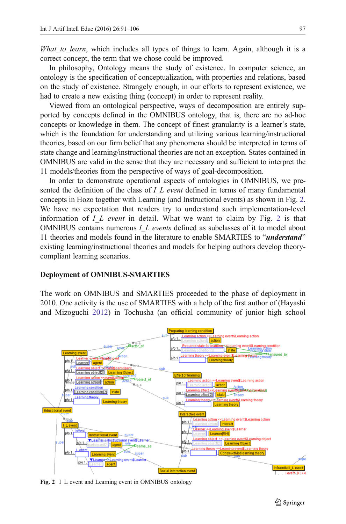What to learn, which includes all types of things to learn. Again, although it is a correct concept, the term that we chose could be improved.

In philosophy, Ontology means the study of existence. In computer science, an ontology is the specification of conceptualization, with properties and relations, based on the study of existence. Strangely enough, in our efforts to represent existence, we had to create a new existing thing (concept) in order to represent reality.

Viewed from an ontological perspective, ways of decomposition are entirely supported by concepts defined in the OMNIBUS ontology, that is, there are no ad-hoc concepts or knowledge in them. The concept of finest granularity is a learner's state, which is the foundation for understanding and utilizing various learning/instructional theories, based on our firm belief that any phenomena should be interpreted in terms of state change and learning/instructional theories are not an exception. States contained in OMNIBUS are valid in the sense that they are necessary and sufficient to interpret the 11 models/theories from the perspective of ways of goal-decomposition.

In order to demonstrate operational aspects of ontologies in OMNIBUS, we presented the definition of the class of  $I$  L event defined in terms of many fundamental concepts in Hozo together with Learning (and Instructional events) as shown in Fig. 2. We have no expectation that readers try to understand such implementation-level information of  $I$   $L$  event in detail. What we want to claim by Fig. 2 is that OMNIBUS contains numerous  $I$  L events defined as subclasses of it to model about 11 theories and models found in the literature to enable SMARTIES to "*understand*" existing learning/instructional theories and models for helping authors develop theorycompliant learning scenarios.

#### Deployment of OMNIBUS-SMARTIES

The work on OMNIBUS and SMARTIES proceeded to the phase of deployment in 2010. One activity is the use of SMARTIES with a help of the first author of (Hayashi and Mizoguchi [2012](#page-14-0)) in Tochusha (an official community of junior high school



Fig. 2 I L event and Learning event in OMNIBUS ontology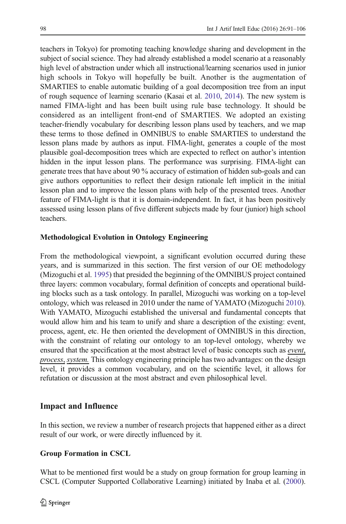teachers in Tokyo) for promoting teaching knowledge sharing and development in the subject of social science. They had already established a model scenario at a reasonably high level of abstraction under which all instructional/learning scenarios used in junior high schools in Tokyo will hopefully be built. Another is the augmentation of SMARTIES to enable automatic building of a goal decomposition tree from an input of rough sequence of learning scenario (Kasai et al. [2010,](#page-14-0) [2014\)](#page-14-0). The new system is named FIMA-light and has been built using rule base technology. It should be considered as an intelligent front-end of SMARTIES. We adopted an existing teacher-friendly vocabulary for describing lesson plans used by teachers, and we map these terms to those defined in OMNIBUS to enable SMARTIES to understand the lesson plans made by authors as input. FIMA-light, generates a couple of the most plausible goal-decomposition trees which are expected to reflect on author's intention hidden in the input lesson plans. The performance was surprising. FIMA-light can generate trees that have about 90 % accuracy of estimation of hidden sub-goals and can give authors opportunities to reflect their design rationale left implicit in the initial lesson plan and to improve the lesson plans with help of the presented trees. Another feature of FIMA-light is that it is domain-independent. In fact, it has been positively assessed using lesson plans of five different subjects made by four (junior) high school teachers.

# Methodological Evolution in Ontology Engineering

From the methodological viewpoint, a significant evolution occurred during these years, and is summarized in this section. The first version of our OE methodology (Mizoguchi et al. [1995\)](#page-14-0) that presided the beginning of the OMNIBUS project contained three layers: common vocabulary, formal definition of concepts and operational building blocks such as a task ontology. In parallel, Mizoguchi was working on a top-level ontology, which was released in 2010 under the name of YAMATO (Mizoguchi [2010\)](#page-14-0). With YAMATO, Mizoguchi established the universal and fundamental concepts that would allow him and his team to unify and share a description of the existing: event, process, agent, etc. He then oriented the development of OMNIBUS in this direction, with the constraint of relating our ontology to an top-level ontology, whereby we ensured that the specification at the most abstract level of basic concepts such as event, process, system. This ontology engineering principle has two advantages: on the design level, it provides a common vocabulary, and on the scientific level, it allows for refutation or discussion at the most abstract and even philosophical level.

# Impact and Influence

In this section, we review a number of research projects that happened either as a direct result of our work, or were directly influenced by it.

# Group Formation in CSCL

What to be mentioned first would be a study on group formation for group learning in CSCL (Computer Supported Collaborative Learning) initiated by Inaba et al. [\(2000\)](#page-14-0).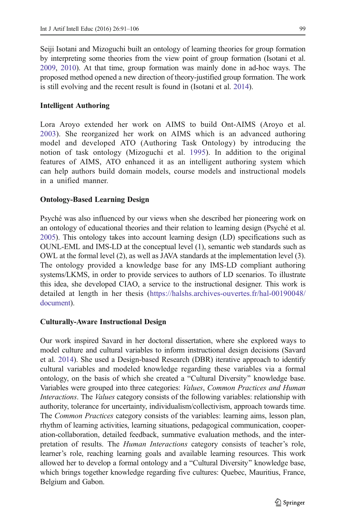Seiji Isotani and Mizoguchi built an ontology of learning theories for group formation by interpreting some theories from the view point of group formation (Isotani et al. [2009,](#page-14-0) [2010\)](#page-14-0). At that time, group formation was mainly done in ad-hoc ways. The proposed method opened a new direction of theory-justified group formation. The work is still evolving and the recent result is found in (Isotani et al. [2014](#page-14-0)).

## Intelligent Authoring

Lora Aroyo extended her work on AIMS to build Ont-AIMS (Aroyo et al. [2003](#page-13-0)). She reorganized her work on AIMS which is an advanced authoring model and developed ATO (Authoring Task Ontology) by introducing the notion of task ontology (Mizoguchi et al. [1995](#page-14-0)). In addition to the original features of AIMS, ATO enhanced it as an intelligent authoring system which can help authors build domain models, course models and instructional models in a unified manner.

#### Ontology-Based Learning Design

Psyché was also influenced by our views when she described her pioneering work on an ontology of educational theories and their relation to learning design (Psyché et al. [2005\)](#page-14-0). This ontology takes into account learning design (LD) specifications such as OUNL-EML and IMS-LD at the conceptual level (1), semantic web standards such as OWL at the formal level (2), as well as JAVA standards at the implementation level (3). The ontology provided a knowledge base for any IMS-LD compliant authoring systems/LKMS, in order to provide services to authors of LD scenarios. To illustrate this idea, she developed CIAO, a service to the instructional designer. This work is detailed at length in her thesis [\(https://halshs.archives-ouvertes.fr/hal-00190048/](https://halshs.archives-ouvertes.fr/hal-00190048/document) [document](https://halshs.archives-ouvertes.fr/hal-00190048/document)).

#### Culturally-Aware Instructional Design

Our work inspired Savard in her doctoral dissertation, where she explored ways to model culture and cultural variables to inform instructional design decisions (Savard et al. [2014\)](#page-15-0). She used a Design-based Research (DBR) iterative approach to identify cultural variables and modeled knowledge regarding these variables via a formal ontology, on the basis of which she created a "Cultural Diversity" knowledge base. Variables were grouped into three categories: Values, Common Practices and Human Interactions. The Values category consists of the following variables: relationship with authority, tolerance for uncertainty, individualism/collectivism, approach towards time. The Common Practices category consists of the variables: learning aims, lesson plan, rhythm of learning activities, learning situations, pedagogical communication, cooperation-collaboration, detailed feedback, summative evaluation methods, and the interpretation of results. The Human Interactions category consists of teacher's role, learner's role, reaching learning goals and available learning resources. This work allowed her to develop a formal ontology and a "Cultural Diversity" knowledge base, which brings together knowledge regarding five cultures: Quebec, Mauritius, France, Belgium and Gabon.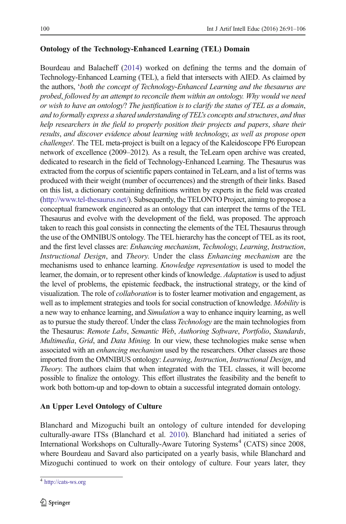# Ontology of the Technology-Enhanced Learning (TEL) Domain

Bourdeau and Balacheff [\(2014](#page-13-0)) worked on defining the terms and the domain of Technology-Enhanced Learning (TEL), a field that intersects with AIED. As claimed by the authors, 'both the concept of Technology-Enhanced Learning and the thesaurus are probed, followed by an attempt to reconcile them within an ontology. Why would we need or wish to have an ontology? The justification is to clarify the status of TEL as a domain, and to formally express a shared understanding of TEL's concepts and structures, and thus help researchers in the field to properly position their projects and papers, share their results, and discover evidence about learning with technology, as well as propose open challenges'. The TEL meta-project is built on a legacy of the Kaleidoscope FP6 European network of excellence (2009–2012). As a result, the TeLearn open archive was created, dedicated to research in the field of Technology-Enhanced Learning. The Thesaurus was extracted from the corpus of scientific papers contained in TeLearn, and a list of terms was produced with their weight (number of occurrences) and the strength of their links. Based on this list, a dictionary containing definitions written by experts in the field was created [\(http://www.tel-thesaurus.net/\)](http://www.tel-thesaurus.net/). Subsequently, the TELONTO Project, aiming to propose a conceptual framework engineered as an ontology that can interpret the terms of the TEL Thesaurus and evolve with the development of the field, was proposed. The approach taken to reach this goal consists in connecting the elements of the TEL Thesaurus through the use of the OMNIBUS ontology. The TEL hierarchy has the concept of TEL as its root, and the first level classes are: Enhancing mechanism, Technology, Learning, Instruction, Instructional Design, and Theory. Under the class Enhancing mechanism are the mechanisms used to enhance learning. Knowledge representation is used to model the learner, the domain, or to represent other kinds of knowledge. Adaptation is used to adjust the level of problems, the epistemic feedback, the instructional strategy, or the kind of visualization. The role of collaboration is to foster learner motivation and engagement, as well as to implement strategies and tools for social construction of knowledge. Mobility is a new way to enhance learning, and Simulation a way to enhance inquiry learning, as well as to pursue the study thereof. Under the class *Technology* are the main technologies from the Thesaurus: Remote Labs, Semantic Web, Authoring Software, Portfolio, Standards, Multimedia, Grid, and Data Mining. In our view, these technologies make sense when associated with an enhancing mechanism used by the researchers. Other classes are those imported from the OMNIBUS ontology: Learning, Instruction, Instructional Design, and Theory. The authors claim that when integrated with the TEL classes, it will become possible to finalize the ontology. This effort illustrates the feasibility and the benefit to work both bottom-up and top-down to obtain a successful integrated domain ontology.

# An Upper Level Ontology of Culture

Blanchard and Mizoguchi built an ontology of culture intended for developing culturally-aware ITSs (Blanchard et al. [2010](#page-13-0)). Blanchard had initiated a series of International Workshops on Culturally-Aware Tutoring Systems<sup>4</sup> (CATS) since 2008, where Bourdeau and Savard also participated on a yearly basis, while Blanchard and Mizoguchi continued to work on their ontology of culture. Four years later, they

<sup>4</sup> <http://cats-ws.org>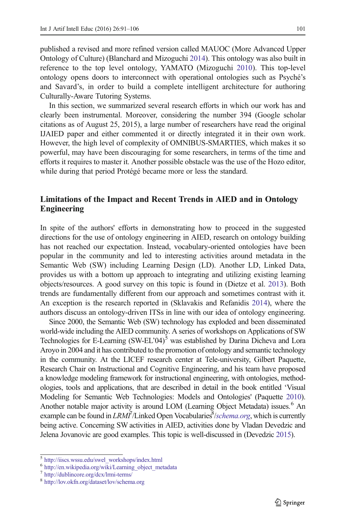published a revised and more refined version called MAUOC (More Advanced Upper Ontology of Culture) (Blanchard and Mizoguchi [2014\)](#page-13-0). This ontology was also built in reference to the top level ontology, YAMATO (Mizoguchi [2010\)](#page-14-0). This top-level ontology opens doors to interconnect with operational ontologies such as Psyché's and Savard's, in order to build a complete intelligent architecture for authoring Culturally-Aware Tutoring Systems.

In this section, we summarized several research efforts in which our work has and clearly been instrumental. Moreover, considering the number 394 (Google scholar citations as of August 25, 2015), a large number of researchers have read the original IJAIED paper and either commented it or directly integrated it in their own work. However, the high level of complexity of OMNIBUS-SMARTIES, which makes it so powerful, may have been discouraging for some researchers, in terms of the time and efforts it requires to master it. Another possible obstacle was the use of the Hozo editor, while during that period Protégé became more or less the standard.

# Limitations of the Impact and Recent Trends in AIED and in Ontology Engineering

In spite of the authors' efforts in demonstrating how to proceed in the suggested directions for the use of ontology engineering in AIED, research on ontology building has not reached our expectation. Instead, vocabulary-oriented ontologies have been popular in the community and led to interesting activities around metadata in the Semantic Web (SW) including Learning Design (LD). Another LD, Linked Data, provides us with a bottom up approach to integrating and utilizing existing learning objects/resources. A good survey on this topic is found in (Dietze et al. [2013](#page-14-0)). Both trends are fundamentally different from our approach and sometimes contrast with it. An exception is the research reported in (Sklavakis and Refanidis [2014\)](#page-15-0), where the authors discuss an ontology-driven ITSs in line with our idea of ontology engineering.

Since 2000, the Semantic Web (SW) technology has exploded and been disseminated world-wide including the AIED community. A series of workshops on Applications of SW Technologies for E-Learning  $(SW-EL'04)^5$  was established by Darina Dicheva and Lora Aroyo in 2004 and it has contributed to the promotion of ontology and semantic technology in the community. At the LICEF research center at Tele-university, Gilbert Paquette, Research Chair on Instructional and Cognitive Engineering, and his team have proposed a knowledge modeling framework for instructional engineering, with ontologies, methodologies, tools and applications, that are described in detail in the book entitled 'Visual Modeling for Semantic Web Technologies: Models and Ontologies' (Paquette [2010\)](#page-14-0). Another notable major activity is around LOM (Learning Object Metadata) issues.<sup>6</sup> An example can be found in LRMI<sup>7</sup>/Linked Open Vocabularies<sup>8</sup>/[schema.org](http://schema.org), which is currently being active. Concerning SW activities in AIED, activities done by Vladan Devedzic and Jelena Jovanovic are good examples. This topic is well-discussed in (Devedzic [2015\)](#page-14-0).

<sup>5</sup> [http://iiscs.wssu.edu/swel\\_workshops/index.html](http://iiscs.wssu.edu/swel_workshops/index.html)

<sup>6</sup> [http://en.wikipedia.org/wiki/Learning\\_object\\_metadata](http://en.wikipedia.org/wiki/Learning_object_metadata)

<sup>7</sup> <http://dublincore.org/dcx/lrmi-terms/>

<sup>8</sup> <http://lov.okfn.org/dataset/lov/schema.org>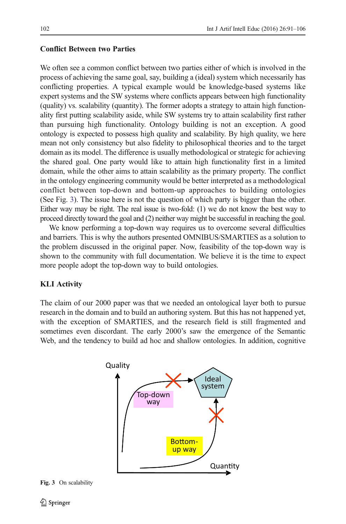# Conflict Between two Parties

We often see a common conflict between two parties either of which is involved in the process of achieving the same goal, say, building a (ideal) system which necessarily has conflicting properties. A typical example would be knowledge-based systems like expert systems and the SW systems where conflicts appears between high functionality (quality) vs. scalability (quantity). The former adopts a strategy to attain high functionality first putting scalability aside, while SW systems try to attain scalability first rather than pursuing high functionality. Ontology building is not an exception. A good ontology is expected to possess high quality and scalability. By high quality, we here mean not only consistency but also fidelity to philosophical theories and to the target domain as its model. The difference is usually methodological or strategic for achieving the shared goal. One party would like to attain high functionality first in a limited domain, while the other aims to attain scalability as the primary property. The conflict in the ontology engineering community would be better interpreted as a methodological conflict between top-down and bottom-up approaches to building ontologies (See Fig. 3). The issue here is not the question of which party is bigger than the other. Either way may be right. The real issue is two-fold: (1) we do not know the best way to proceed directly toward the goal and (2) neither way might be successful in reaching the goal.

We know performing a top-down way requires us to overcome several difficulties and barriers. This is why the authors presented OMNIBUS/SMARTIES as a solution to the problem discussed in the original paper. Now, feasibility of the top-down way is shown to the community with full documentation. We believe it is the time to expect more people adopt the top-down way to build ontologies.

# KLI Activity

The claim of our 2000 paper was that we needed an ontological layer both to pursue research in the domain and to build an authoring system. But this has not happened yet, with the exception of SMARTIES, and the research field is still fragmented and sometimes even discordant. The early 2000's saw the emergence of the Semantic Web, and the tendency to build ad hoc and shallow ontologies. In addition, cognitive



Fig. 3 On scalability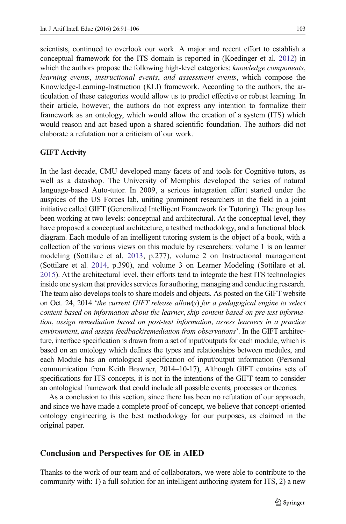scientists, continued to overlook our work. A major and recent effort to establish a conceptual framework for the ITS domain is reported in (Koedinger et al. [2012\)](#page-14-0) in which the authors propose the following high-level categories: *knowledge components*, learning events, instructional events, and assessment events, which compose the Knowledge-Learning-Instruction (KLI) framework. According to the authors, the articulation of these categories would allow us to predict effective or robust learning. In their article, however, the authors do not express any intention to formalize their framework as an ontology, which would allow the creation of a system (ITS) which would reason and act based upon a shared scientific foundation. The authors did not elaborate a refutation nor a criticism of our work.

## GIFT Activity

In the last decade, CMU developed many facets of and tools for Cognitive tutors, as well as a datashop. The University of Memphis developed the series of natural language-based Auto-tutor. In 2009, a serious integration effort started under the auspices of the US Forces lab, uniting prominent researchers in the field in a joint initiative called GIFT (Generalized Intelligent Framework for Tutoring). The group has been working at two levels: conceptual and architectural. At the conceptual level, they have proposed a conceptual architecture, a testbed methodology, and a functional block diagram. Each module of an intelligent tutoring system is the object of a book, with a collection of the various views on this module by researchers: volume 1 is on learner modeling (Sottilare et al. [2013](#page-15-0), p.277), volume 2 on Instructional management (Sottilare et al. [2014,](#page-15-0) p.390), and volume 3 on Learner Modeling (Sottilare et al. [2015\)](#page-15-0). At the architectural level, their efforts tend to integrate the best ITS technologies inside one system that provides services for authoring, managing and conducting research. The team also develops tools to share models and objects. As posted on the GIFT website on Oct. 24, 2014 'the current GIFT release allow(s) for a pedagogical engine to select content based on information about the learner, skip content based on pre-test information, assign remediation based on post-test information, assess learners in a practice environment, and assign feedback/remediation from observations'. In the GIFT architecture, interface specification is drawn from a set of input/outputs for each module, which is based on an ontology which defines the types and relationships between modules, and each Module has an ontological specification of input/output information (Personal communication from Keith Brawner, 2014–10-17), Although GIFT contains sets of specifications for ITS concepts, it is not in the intentions of the GIFT team to consider an ontological framework that could include all possible events, processes or theories.

As a conclusion to this section, since there has been no refutation of our approach, and since we have made a complete proof-of-concept, we believe that concept-oriented ontology engineering is the best methodology for our purposes, as claimed in the original paper.

## Conclusion and Perspectives for OE in AIED

Thanks to the work of our team and of collaborators, we were able to contribute to the community with: 1) a full solution for an intelligent authoring system for ITS, 2) a new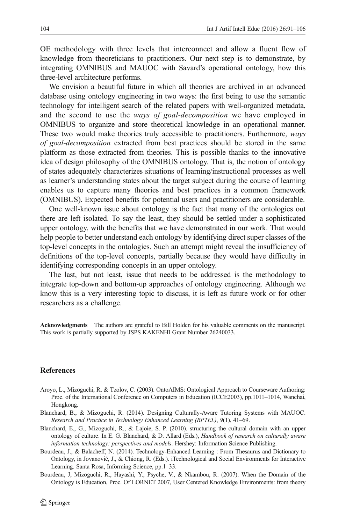<span id="page-13-0"></span>OE methodology with three levels that interconnect and allow a fluent flow of knowledge from theoreticians to practitioners. Our next step is to demonstrate, by integrating OMNIBUS and MAUOC with Savard's operational ontology, how this three-level architecture performs.

We envision a beautiful future in which all theories are archived in an advanced database using ontology engineering in two ways: the first being to use the semantic technology for intelligent search of the related papers with well-organized metadata, and the second to use the ways of goal-decomposition we have employed in OMNIBUS to organize and store theoretical knowledge in an operational manner. These two would make theories truly accessible to practitioners. Furthermore, ways of goal-decomposition extracted from best practices should be stored in the same platform as those extracted from theories. This is possible thanks to the innovative idea of design philosophy of the OMNIBUS ontology. That is, the notion of ontology of states adequately characterizes situations of learning/instructional processes as well as learner's understanding states about the target subject during the course of learning enables us to capture many theories and best practices in a common framework (OMNIBUS). Expected benefits for potential users and practitioners are considerable.

One well-known issue about ontology is the fact that many of the ontologies out there are left isolated. To say the least, they should be settled under a sophisticated upper ontology, with the benefits that we have demonstrated in our work. That would help people to better understand each ontology by identifying direct super classes of the top-level concepts in the ontologies. Such an attempt might reveal the insufficiency of definitions of the top-level concepts, partially because they would have difficulty in identifying corresponding concepts in an upper ontology.

The last, but not least, issue that needs to be addressed is the methodology to integrate top-down and bottom-up approaches of ontology engineering. Although we know this is a very interesting topic to discuss, it is left as future work or for other researchers as a challenge.

Acknowledgments The authors are grateful to Bill Holden for his valuable comments on the manuscript. This work is partially supported by JSPS KAKENHI Grant Number 26240033.

#### References

- Aroyo, L., Mizoguchi, R. & Tzolov, C. (2003). OntoAIMS: Ontological Approach to Courseware Authoring: Proc. of the International Conference on Computers in Education (ICCE2003), pp.1011–1014, Wanchai, Hongkong.
- Blanchard, B., & Mizoguchi, R. (2014). Designing Culturally-Aware Tutoring Systems with MAUOC. Research and Practice in Technology Enhanced Learning (RPTEL), 9(1), 41–69.
- Blanchard, E., G., Mizoguchi, R., & Lajoie, S. P. (2010). structuring the cultural domain with an upper ontology of culture. In E. G. Blanchard, & D. Allard (Eds.), Handbook of research on culturally aware information technology: perspectives and models. Hershey: Information Science Publishing.
- Bourdeau, J., & Balacheff, N. (2014). Technology-Enhanced Learning : From Thesaurus and Dictionary to Ontology, in Jovanović, J., & Chiong, R. (Eds.). iTechnological and Social Environments for Interactive Learning. Santa Rosa, Informing Science, pp.1–33.
- Bourdeau, J, Mizoguchi, R., Hayashi, Y., Psyche, V., & Nkambou, R. (2007). When the Domain of the Ontology is Education, Proc. Of LORNET 2007, User Centered Knowledge Environments: from theory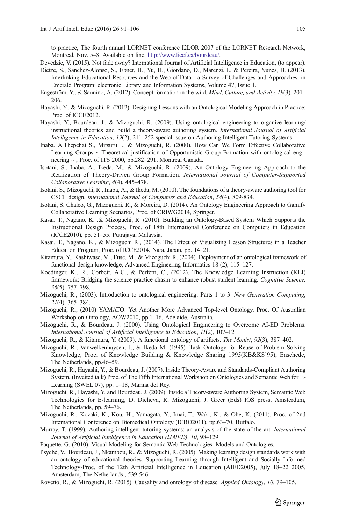<span id="page-14-0"></span>to practice, The fourth annual LORNET conference I2LOR 2007 of the LORNET Research Network, Montreal, Nov. 5–8. Available on line, <http://www.licef.ca/bourdeau/>.

- Devedzic, V. (2015). Not fade away? International Journal of Artificial Intelligence in Education, (to appear).
- Dietze, S., Sanchez-Alonso, S., Ebner, H., Yu, H., Giordano, D., Marenzi, I., & Pereira, Nunes, B. (2013). Interlinking Educational Resources and the Web of Data - a Survey of Challenges and Approaches, in Emerald Program: electronic Library and Information Systems, Volume 47, Issue 1.
- Engeström, Y., & Sannino, A. (2012). Concept formation in the wild. *Mind, Culture, and Activity*, 19(3), 201– 206.
- Hayashi, Y., & Mizoguchi, R. (2012). Designing Lessons with an Ontological Modeling Approach in Practice: Proc. of ICCE2012.
- Hayashi, Y., Bourdeau, J., & Mizoguchi, R. (2009). Using ontological engineering to organize learning/ instructional theories and build a theory-aware authoring system. International Journal of Artificial Intelligence in Education, 19(2), 211–252 special issue on Authoring Intelligent Tutoring Systems.
- Inaba. A.Thepchai S., Mitsuru I., & Mizoguchi, R. (2000). How Can We Form Effective Collaborative Learning Groups ~ Theoretical justification of Opportunistic Group Formation with ontological engineering ~ , Proc. of ITS'2000, pp.282–291, Montreal Canada.
- Isotani, S., Inaba, A., Ikeda, M., & Mizoguchi, R. (2009). An Ontology Engineering Approach to the Realization of Theory-Driven Group Formation. International Journal of Computer-Supported Collaborative Learning, 4(4), 445–478.
- Isotani, S., Mizoguchi, R., Inaba, A., & Ikeda, M. (2010). The foundations of a theory-aware authoring tool for CSCL design. International Journal of Computers and Education, 54(4), 809-834.
- Isotani, S, Chalco, G., Mizoguchi, R., & Moreira, D. (2014). An Ontology Engineering Approach to Gamify Collaborative Learning Scenarios, Proc. of CRIWG2014, Springer.
- Kasai, T., Nagano, K. ,& Mizoguchi, R. (2010). Building an Ontology-Based System Which Supports the Instructional Design Process, Proc. of 18th International Conference on Computers in Education (ICCE2010), pp. 51–55, Putrajaya, Malaysia.
- Kasai, T., Nagano, K., & Mizoguchi R., (2014). The Effect of Visualizing Lesson Structures in a Teacher Education Program, Proc. of ICCE2014, Nara, Japan, pp. 14–21.
- Kitamura, Y., Kashiwase, M , Fuse, M , & Mizoguchi R. (2004). Deployment of an ontological framework of functional design knowledge, Advanced Engineering Informatics 18 (2), 115–127.
- Koedinger, K., R., Corbett, A.C., & Perfetti, C., (2012). The Knowledge Learning Instruction (KLI) framework: Bridging the science practice chasm to enhance robust student learning. Cognitive Science, 36(5), 757–798.
- Mizoguchi, R., (2003). Introduction to ontological engineering: Parts 1 to 3. New Generation Computing, 21(4), 365–384.
- Mizoguchi, R., (2010) YAMATO: Yet Another More Advanced Top-level Ontology, Proc. Of Australian Workshop on Ontology, AOW2010, pp.1–16, Adelaide, Australia.
- Mizoguchi, R., & Bourdeau, J. (2000). Using Ontological Engineering to Overcome AI-ED Problems. International Journal of Artificial Intelligence in Education, 11(2), 107–121.
- Mizoguchi, R., & Kitamura, Y. (2009). A functional ontology of artifacts. The Monist, 92(3), 387–402.
- Mizoguchi, R., Vanwelkenhuysen, J., & Ikeda M. (1995). Task Ontology for Reuse of Problem Solving Knowledge, Proc. of Knowledge Building & Knowledge Sharing 1995(KB&KS'95), Enschede, The Netherlands, pp.46–59.
- Mizoguchi, R., Hayashi, Y., & Bourdeau, J. (2007). Inside Theory-Aware and Standards-Compliant Authoring System, (Inveited talk) Proc. of The Fifth International Workshop on Ontologies and Semantic Web for E-Learning (SWEL'07), pp. 1–18, Marina del Rey.
- Mizoguchi, R., Hayashi, Y. and Bourdeau, J. (2009). Inside a Theory-aware Authoring System, Semantic Web Technologies for E-learning, D. Dicheva, R. Mizoguchi, J. Greer (Eds) IOS press, Amsterdam, The Netherlands, pp. 59–76.
- Mizoguchi, R., Kozaki, K., Kou, H., Yamagata, Y., Imai, T., Waki, K., & Ohe, K. (2011). Proc. of 2nd International Conference on Biomedical Ontology (ICBO2011), pp.63–70, Buffalo.
- Murray, T. (1999). Authoring intelligent tutoring systems: an analysis of the state of the art. *International* Journal of Artificial Intelligence in Education (IJAIED), 10, 98–129.
- Paquette, G. (2010). Visual Modeling for Semantic Web Technologies: Models and Ontologies.
- Psyché, V., Bourdeau, J., Nkambou, R., & Mizoguchi, R. (2005). Making learning design standards work with an ontology of educational theories. Supporting Learning through Intelligent and Socially Informed Technology-Proc. of the 12th Artificial Intelligence in Education (AIED2005), July 18–22 2005, Amsterdam, The Netherlands., 539-546.
- Rovetto, R., & Mizoguchi, R. (2015). Causality and ontology of disease. Applied Ontology, 10, 79–105.